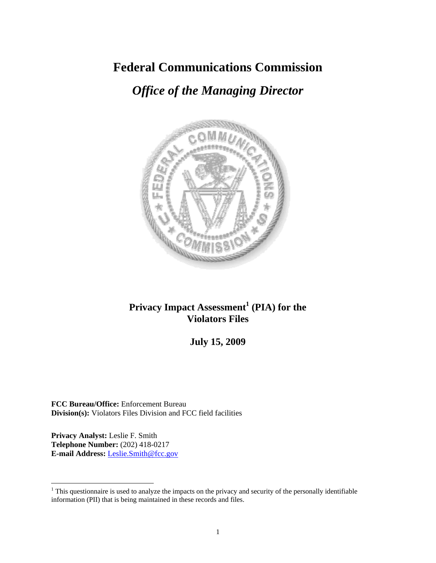# **Federal Communications Commission**

# *Office of the Managing Director*



# **Privacy Impact Assessment<sup>1</sup> (PIA) for the Violators Files**

# **July 15, 2009**

**FCC Bureau/Office:** Enforcement Bureau **Division(s):** Violators Files Division and FCC field facilities

**Privacy Analyst:** Leslie F. Smith **Telephone Number:** (202) 418-0217 **E-mail Address:** Leslie.Smith@fcc.gov

 $\overline{a}$ 

 $1$ <sup>1</sup> This questionnaire is used to analyze the impacts on the privacy and security of the personally identifiable information (PII) that is being maintained in these records and files.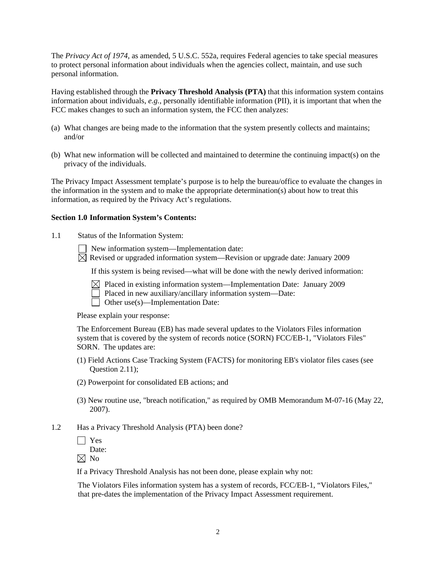The *Privacy Act of 1974*, as amended, 5 U.S.C. 552a, requires Federal agencies to take special measures to protect personal information about individuals when the agencies collect, maintain, and use such personal information.

Having established through the **Privacy Threshold Analysis (PTA)** that this information system contains information about individuals, *e.g.*, personally identifiable information (PII), it is important that when the FCC makes changes to such an information system, the FCC then analyzes:

- (a) What changes are being made to the information that the system presently collects and maintains; and/or
- (b) What new information will be collected and maintained to determine the continuing impact(s) on the privacy of the individuals.

The Privacy Impact Assessment template's purpose is to help the bureau/office to evaluate the changes in the information in the system and to make the appropriate determination(s) about how to treat this information, as required by the Privacy Act's regulations.

#### **Section 1.0 Information System's Contents:**

1.1 Status of the Information System:

New information system—Implementation date:

 $\boxtimes$  Revised or upgraded information system—Revision or upgrade date: January 2009

If this system is being revised—what will be done with the newly derived information:

- $\boxtimes$  Placed in existing information system—Implementation Date: January 2009
	- Placed in new auxiliary/ancillary information system—Date:
- $\Box$  Other use(s)—Implementation Date:

Please explain your response:

The Enforcement Bureau (EB) has made several updates to the Violators Files information system that is covered by the system of records notice (SORN) FCC/EB-1, "Violators Files" SORN. The updates are:

- (1) Field Actions Case Tracking System (FACTS) for monitoring EB's violator files cases (see Question 2.11);
- (2) Powerpoint for consolidated EB actions; and
- (3) New routine use, "breach notification," as required by OMB Memorandum M-07-16 (May 22, 2007).
- 1.2 Has a Privacy Threshold Analysis (PTA) been done?

 $\Box$  Yes

Date:

 $\boxtimes$  No

If a Privacy Threshold Analysis has not been done, please explain why not:

 The Violators Files information system has a system of records, FCC/EB-1, "Violators Files," that pre-dates the implementation of the Privacy Impact Assessment requirement.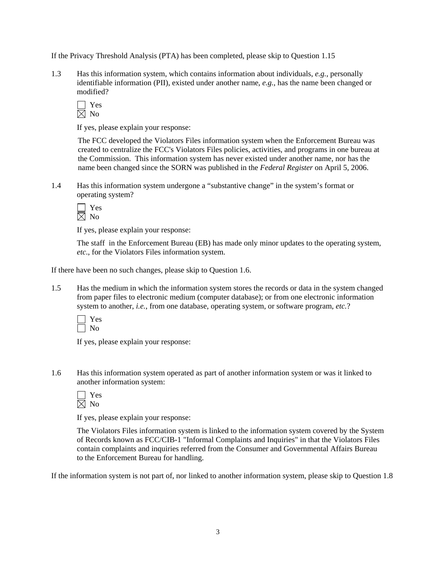If the Privacy Threshold Analysis (PTA) has been completed, please skip to Question 1.15

1.3 Has this information system, which contains information about individuals, *e.g.*, personally identifiable information (PII), existed under another name, *e.g.*, has the name been changed or modified?

If yes, please explain your response:

 The FCC developed the Violators Files information system when the Enforcement Bureau was created to centralize the FCC's Violators Files policies, activities, and programs in one bureau at the Commission. This information system has never existed under another name, nor has the name been changed since the SORN was published in the *Federal Register* on April 5, 2006.

1.4 Has this information system undergone a "substantive change" in the system's format or operating system?

 Yes  $\boxtimes$  No

If yes, please explain your response:

The staff in the Enforcement Bureau (EB) has made only minor updates to the operating system, *etc*., for the Violators Files information system.

If there have been no such changes, please skip to Question 1.6.

1.5 Has the medium in which the information system stores the records or data in the system changed from paper files to electronic medium (computer database); or from one electronic information system to another, *i.e.*, from one database, operating system, or software program, *etc.*?



If yes, please explain your response:

1.6 Has this information system operated as part of another information system or was it linked to another information system:

 Yes No

If yes, please explain your response:

The Violators Files information system is linked to the information system covered by the System of Records known as FCC/CIB-1 "Informal Complaints and Inquiries" in that the Violators Files contain complaints and inquiries referred from the Consumer and Governmental Affairs Bureau to the Enforcement Bureau for handling.

If the information system is not part of, nor linked to another information system, please skip to Question 1.8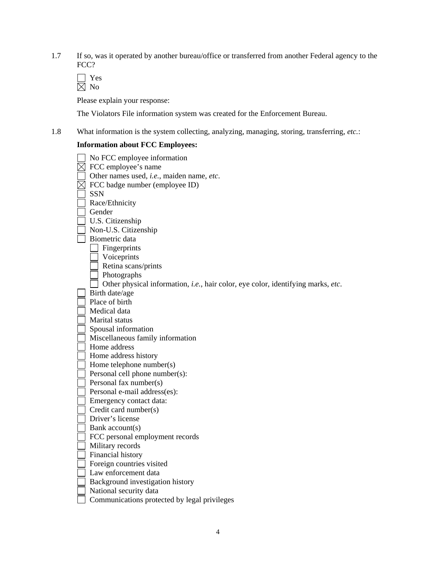1.7 If so, was it operated by another bureau/office or transferred from another Federal agency to the FCC?

Please explain your response:

The Violators File information system was created for the Enforcement Bureau.

1.8 What information is the system collecting, analyzing, managing, storing, transferring, *etc.*:

# **Information about FCC Employees:**

| No FCC employee information                                                              |
|------------------------------------------------------------------------------------------|
| FCC employee's name                                                                      |
| Other names used, i.e., maiden name, etc.                                                |
| FCC badge number (employee ID)                                                           |
| <b>SSN</b>                                                                               |
| Race/Ethnicity                                                                           |
| Gender                                                                                   |
| U.S. Citizenship                                                                         |
| Non-U.S. Citizenship                                                                     |
| Biometric data                                                                           |
| Fingerprints                                                                             |
| Voiceprints                                                                              |
| Retina scans/prints                                                                      |
| Photographs                                                                              |
| Other physical information, <i>i.e.</i> , hair color, eye color, identifying marks, etc. |
| Birth date/age                                                                           |
| Place of birth                                                                           |
| Medical data                                                                             |
| Marital status                                                                           |
| Spousal information                                                                      |
| Miscellaneous family information                                                         |
| Home address                                                                             |
| Home address history                                                                     |
| Home telephone number(s)                                                                 |
| Personal cell phone number(s):                                                           |
| Personal fax number(s)                                                                   |
| Personal e-mail address(es):                                                             |
| Emergency contact data:                                                                  |
| Credit card number(s)                                                                    |
| Driver's license                                                                         |
| Bank account(s)                                                                          |
| FCC personal employment records                                                          |
| Military records                                                                         |
| Financial history                                                                        |
| Foreign countries visited                                                                |
| Law enforcement data                                                                     |
| Background investigation history                                                         |
| National security data                                                                   |
| Communications protected by legal privileges                                             |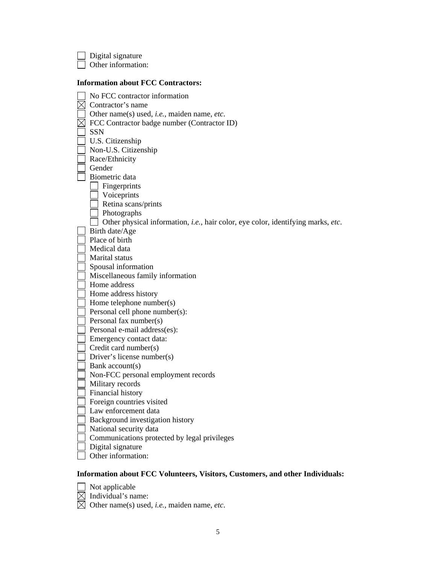Digital signature Other information: **Information about FCC Contractors:**  No FCC contractor information  $\boxtimes$  Contractor's name Other name(s) used, *i.e.*, maiden name, *etc*.  $\boxtimes$  FCC Contractor badge number (Contractor ID)  $\exists$  SSN U.S. Citizenship Non-U.S. Citizenship Race/Ethnicity Gender Biometric data **Fingerprints Voiceprints** Retina scans/prints Photographs Other physical information, *i.e.*, hair color, eye color, identifying marks, *etc*. Birth date/Age Place of birth Medical data Marital status Spousal information Miscellaneous family information Home address Home address history  $\Box$  Home telephone number(s)  $\Box$  Personal cell phone number(s): Personal fax number(s) Personal e-mail address(es): **Emergency contact data:**  Credit card number(s) Driver's license number(s) Bank account(s) Non-FCC personal employment records Military records Financial history Foreign countries visited Law enforcement data Background investigation history National security data Communications protected by legal privileges Digital signature Other information:

#### **Information about FCC Volunteers, Visitors, Customers, and other Individuals:**

Not applicable  $\overline{\boxtimes}$  Individual's name:

 $\overline{\boxtimes}$  Other name(s) used, *i.e.*, maiden name, *etc.*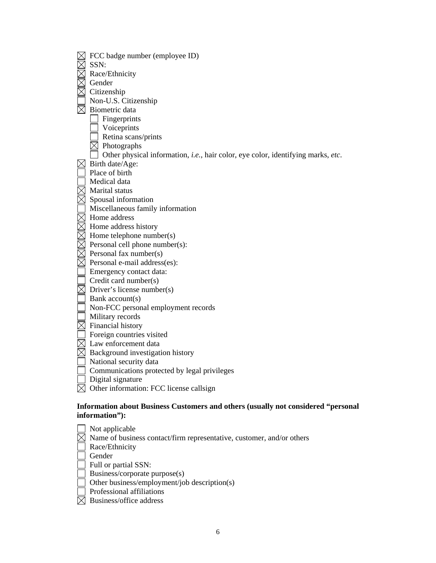| FCC badge number (employee ID)                                                                      |
|-----------------------------------------------------------------------------------------------------|
| SSN:                                                                                                |
| Race/Ethnicity                                                                                      |
| Gender                                                                                              |
| Citizenship                                                                                         |
| Non-U.S. Citizenship                                                                                |
| Biometric data                                                                                      |
| Fingerprints                                                                                        |
| Voiceprints                                                                                         |
| Retina scans/prints                                                                                 |
| $\leq$ Photographs                                                                                  |
| Other physical information, i.e., hair color, eye color, identifying marks, etc.                    |
| Birth date/Age:                                                                                     |
| Place of birth                                                                                      |
| Medical data                                                                                        |
| Marital status                                                                                      |
| Spousal information                                                                                 |
| Miscellaneous family information                                                                    |
| Home address                                                                                        |
| Home address history                                                                                |
| Home telephone number(s)                                                                            |
| Personal cell phone number(s):                                                                      |
| Personal fax number(s)                                                                              |
| Personal e-mail address(es):                                                                        |
| Emergency contact data:                                                                             |
| Credit card number(s)                                                                               |
| Driver's license number(s)                                                                          |
| Bank account(s)                                                                                     |
| Non-FCC personal employment records                                                                 |
| Military records                                                                                    |
| Financial history                                                                                   |
| Foreign countries visited                                                                           |
| Law enforcement data                                                                                |
| Background investigation history                                                                    |
| National security data                                                                              |
| Communications protected by legal privileges                                                        |
| Digital signature                                                                                   |
| Other information: FCC license callsign                                                             |
|                                                                                                     |
| Information about Business Customers and others (usually not considered "personal<br>information"): |
|                                                                                                     |
| Not applicable                                                                                      |
| Name of business contact/firm representative, customer, and/or others                               |

Race/Ethnicity

 $\Box$  Gender

Full or partial SSN:

Business/corporate purpose(s)

Other business/employment/job description(s)

- Professional affiliations
- Business/office address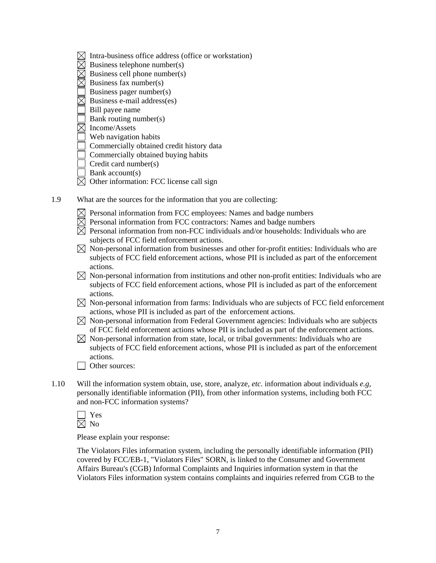- $\boxtimes$  Intra-business office address (office or workstation)
- $\boxtimes$  Business telephone number(s)
- $\boxtimes$  Business cell phone number(s)
- $\boxtimes$  Business fax number(s)
- Business pager number(s)
- $\boxtimes$  Business e-mail address(es)
- Bill payee name
- Bank routing number(s)
- $\overline{\boxtimes}$  Income/Assets
- Web navigation habits
- Commercially obtained credit history data
- Commercially obtained buying habits
- $\exists$  Credit card number(s)
- $\Box$  Bank account(s)
- $\boxtimes$  Other information: FCC license call sign
- 1.9 What are the sources for the information that you are collecting:
	- $\boxtimes$  Personal information from FCC employees: Names and badge numbers
	- $\overline{\boxtimes}$  Personal information from FCC contractors: Names and badge numbers
	- $\boxtimes$  Personal information from non-FCC individuals and/or households: Individuals who are subjects of FCC field enforcement actions.
	- $\boxtimes$  Non-personal information from businesses and other for-profit entities: Individuals who are subjects of FCC field enforcement actions, whose PII is included as part of the enforcement actions.
	- $\boxtimes$  Non-personal information from institutions and other non-profit entities: Individuals who are subjects of FCC field enforcement actions, whose PII is included as part of the enforcement actions.
	- $\boxtimes$  Non-personal information from farms: Individuals who are subjects of FCC field enforcement actions, whose PII is included as part of the enforcement actions.
	- $\boxtimes$  Non-personal information from Federal Government agencies: Individuals who are subjects of FCC field enforcement actions whose PII is included as part of the enforcement actions.
	- $\boxtimes$  Non-personal information from state, local, or tribal governments: Individuals who are subjects of FCC field enforcement actions, whose PII is included as part of the enforcement actions.
	- □ Other sources:
- 1.10 Will the information system obtain, use, store, analyze, *etc*. information about individuals *e.g*, personally identifiable information (PII), from other information systems, including both FCC and non-FCC information systems?
	- Yes  $\overline{\boxtimes}$  No

Please explain your response:

The Violators Files information system, including the personally identifiable information (PII) covered by FCC/EB-1, "Violators Files" SORN, is linked to the Consumer and Government Affairs Bureau's (CGB) Informal Complaints and Inquiries information system in that the Violators Files information system contains complaints and inquiries referred from CGB to the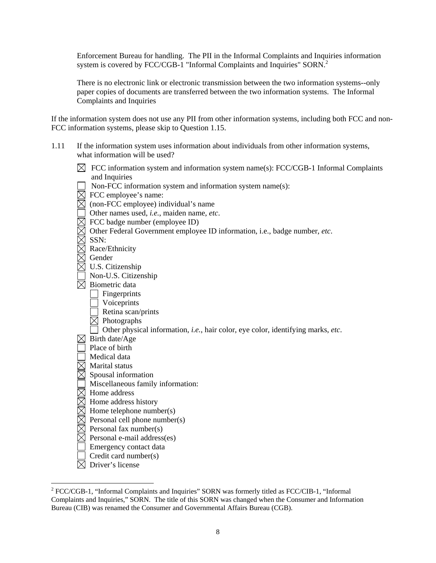Enforcement Bureau for handling. The PII in the Informal Complaints and Inquiries information system is covered by FCC/CGB-1 "Informal Complaints and Inquiries" SORN.<sup>2</sup>

There is no electronic link or electronic transmission between the two information systems--only paper copies of documents are transferred between the two information systems. The Informal Complaints and Inquiries

If the information system does not use any PII from other information systems, including both FCC and non-FCC information systems, please skip to Question 1.15.

- 1.11 If the information system uses information about individuals from other information systems, what information will be used?
	- $\boxtimes$  FCC information system and information system name(s): FCC/CGB-1 Informal Complaints and Inquiries
	- $\Box$  Non-FCC information system and information system name(s):
	- $\boxtimes$  FCC employee's name:
	- $\boxtimes$  (non-FCC employee) individual's name
	- Other names used, *i.e.*, maiden name, *etc*.
	- FCC badge number (employee ID)
	- Other Federal Government employee ID information, i.e., badge number, *etc*.
	- $\boxtimes$  SSN:
	- $\boxtimes$  Race/Ethnicity
	- $\boxtimes$  Gender
	- $\boxtimes$  U.S. Citizenship
	- Non-U.S. Citizenship
	- $\boxtimes$  Biometric data
		- Fingerprints
		- Voiceprints
		- $\overline{\phantom{a}}$  Retina scan/prints
		- $\boxtimes$  Photographs
		- Other physical information, *i.e.*, hair color, eye color, identifying marks, *etc*.
	- $\boxtimes$  Birth date/Age
	- Place of birth
	- Medical data
	- $\overline{\boxtimes}$  Marital status
	- $\boxtimes$  Spousal information
	- Miscellaneous family information:
	- $\boxtimes$  Home address
	- $\boxtimes$  Home address history
	- $\overline{\boxtimes}$  Home telephone number(s)
	- $\boxtimes$  Personal cell phone number(s)
	- $\boxtimes$  Personal fax number(s)
	- $\boxtimes$  Personal e-mail address(es)
	- **Example 1** Emergency contact data
	- $\Box$  Credit card number(s)
	- $\boxtimes$  Driver's license

 $\overline{a}$ 

<sup>&</sup>lt;sup>2</sup> FCC/CGB-1, "Informal Complaints and Inquiries" SORN was formerly titled as FCC/CIB-1, "Informal Complaints and Inquiries," SORN. The title of this SORN was changed when the Consumer and Information Bureau (CIB) was renamed the Consumer and Governmental Affairs Bureau (CGB).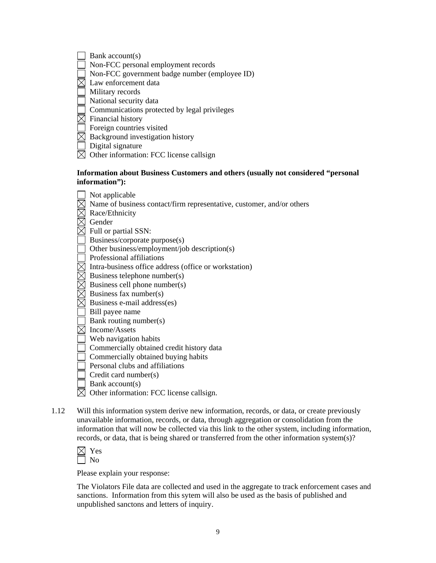| $\Box$ Bank account(s) |  |
|------------------------|--|
|------------------------|--|

- Non-FCC personal employment records
- Non-FCC government badge number (employee ID)
- $\overline{\boxtimes}$  Law enforcement data

Military records

National security data

- Communications protected by legal privileges
- $\boxtimes$  Financial history
- **Foreign countries visited**
- $\boxtimes$  Background investigation history
- Digital signature
- $\boxtimes$  Other information: FCC license callsign

## **Information about Business Customers and others (usually not considered "personal information"):**

| Not applicable                                                        |
|-----------------------------------------------------------------------|
| Name of business contact/firm representative, customer, and/or others |
| Race/Ethnicity                                                        |
| Gender                                                                |
| Full or partial SSN:                                                  |
| Business/corporate purpose(s)                                         |
| Other business/employment/job description(s)                          |
| Professional affiliations                                             |
| Intra-business office address (office or workstation)                 |
| Business telephone number(s)                                          |
| Business cell phone number(s)                                         |
| Business fax number(s)                                                |
| Business e-mail address(es)                                           |
| Bill payee name                                                       |
| Bank routing number(s)                                                |
| Income/Assets                                                         |
| Web navigation habits                                                 |
| Commercially obtained credit history data                             |
| Commercially obtained buying habits                                   |
| Personal clubs and affiliations                                       |
| Credit card number(s)                                                 |
| Bank account(s)                                                       |
| Other information: FCC license callsign.                              |

1.12 Will this information system derive new information, records, or data, or create previously unavailable information, records, or data, through aggregation or consolidation from the information that will now be collected via this link to the other system, including information, records, or data, that is being shared or transferred from the other information system(s)?

| − |
|---|
| 1 |

Please explain your response:

The Violators File data are collected and used in the aggregate to track enforcement cases and sanctions. Information from this sytem will also be used as the basis of published and unpublished sanctons and letters of inquiry.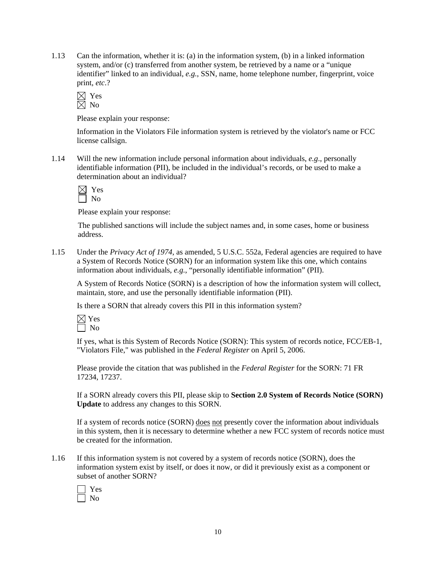1.13 Can the information, whether it is: (a) in the information system, (b) in a linked information system, and/or (c) transferred from another system, be retrieved by a name or a "unique identifier" linked to an individual, *e.g.*, SSN, name, home telephone number, fingerprint, voice print, *etc*.?

 $\boxtimes$  Yes  $\overline{\boxtimes}$  No

Please explain your response:

Information in the Violators File information system is retrieved by the violator's name or FCC license callsign.

1.14 Will the new information include personal information about individuals, *e.g*., personally identifiable information (PII), be included in the individual's records, or be used to make a determination about an individual?

Please explain your response:

The published sanctions will include the subject names and, in some cases, home or business address.

1.15 Under the *Privacy Act of 1974*, as amended, 5 U.S.C. 552a, Federal agencies are required to have a System of Records Notice (SORN) for an information system like this one, which contains information about individuals, *e.g.*, "personally identifiable information" (PII).

A System of Records Notice (SORN) is a description of how the information system will collect, maintain, store, and use the personally identifiable information (PII).

Is there a SORN that already covers this PII in this information system?

If yes, what is this System of Records Notice (SORN): This system of records notice, FCC/EB-1, "Violators File," was published in the *Federal Register* on April 5, 2006.

Please provide the citation that was published in the *Federal Register* for the SORN: 71 FR 17234, 17237.

If a SORN already covers this PII, please skip to **Section 2.0 System of Records Notice (SORN) Update** to address any changes to this SORN.

If a system of records notice (SORN) does not presently cover the information about individuals in this system, then it is necessary to determine whether a new FCC system of records notice must be created for the information.

1.16 If this information system is not covered by a system of records notice (SORN), does the information system exist by itself, or does it now, or did it previously exist as a component or subset of another SORN?

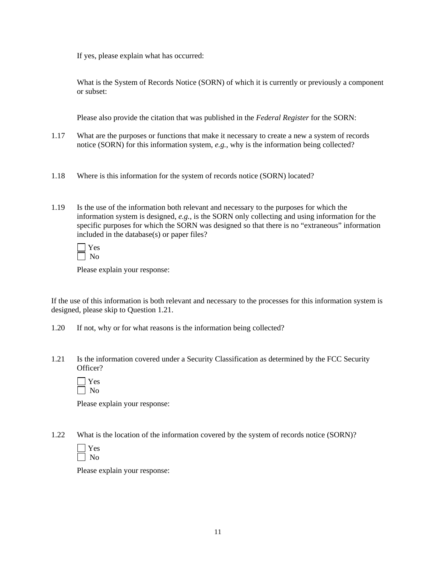If yes, please explain what has occurred:

What is the System of Records Notice (SORN) of which it is currently or previously a component or subset:

Please also provide the citation that was published in the *Federal Register* for the SORN:

- 1.17 What are the purposes or functions that make it necessary to create a new a system of records notice (SORN) for this information system, *e.g.*, why is the information being collected?
- 1.18 Where is this information for the system of records notice (SORN) located?
- 1.19 Is the use of the information both relevant and necessary to the purposes for which the information system is designed, *e.g.*, is the SORN only collecting and using information for the specific purposes for which the SORN was designed so that there is no "extraneous" information included in the database(s) or paper files?

Please explain your response:

If the use of this information is both relevant and necessary to the processes for this information system is designed, please skip to Question 1.21.

- 1.20 If not, why or for what reasons is the information being collected?
- 1.21 Is the information covered under a Security Classification as determined by the FCC Security Officer?

Please explain your response:

1.22 What is the location of the information covered by the system of records notice (SORN)?



Please explain your response: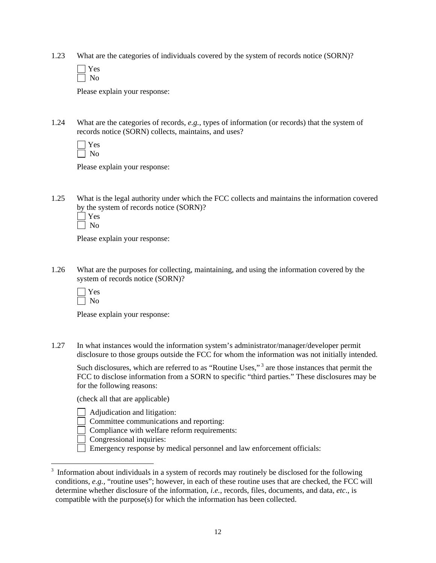1.23 What are the categories of individuals covered by the system of records notice (SORN)?

Please explain your response:

1.24 What are the categories of records, *e.g.*, types of information (or records) that the system of records notice (SORN) collects, maintains, and uses?

Please explain your response:

1.25 What is the legal authority under which the FCC collects and maintains the information covered by the system of records notice (SORN)?

| ۰, |
|----|
|    |

Please explain your response:

1.26 What are the purposes for collecting, maintaining, and using the information covered by the system of records notice (SORN)?

 $\overline{a}$ 

Please explain your response:

1.27 In what instances would the information system's administrator/manager/developer permit disclosure to those groups outside the FCC for whom the information was not initially intended.

Such disclosures, which are referred to as "Routine Uses,"<sup>3</sup> are those instances that permit the FCC to disclose information from a SORN to specific "third parties." These disclosures may be for the following reasons:

(check all that are applicable)

- Adjudication and litigation:
- Committee communications and reporting:
- Compliance with welfare reform requirements:
- Congressional inquiries:
- Emergency response by medical personnel and law enforcement officials:

 $3$  Information about individuals in a system of records may routinely be disclosed for the following conditions, *e.g.,* "routine uses"; however, in each of these routine uses that are checked, the FCC will determine whether disclosure of the information, *i.e.*, records, files, documents, and data, *etc*., is compatible with the purpose(s) for which the information has been collected.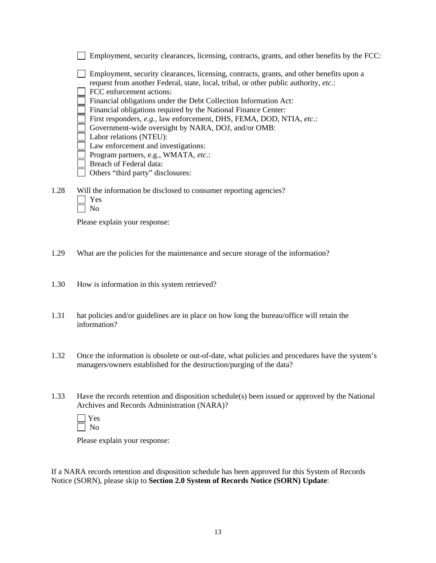|      | Employment, security clearances, licensing, contracts, grants, and other benefits by the FCC:                                                                                    |
|------|----------------------------------------------------------------------------------------------------------------------------------------------------------------------------------|
|      | Employment, security clearances, licensing, contracts, grants, and other benefits upon a<br>request from another Federal, state, local, tribal, or other public authority, etc.: |
|      | FCC enforcement actions:                                                                                                                                                         |
|      | Financial obligations under the Debt Collection Information Act:                                                                                                                 |
|      | Financial obligations required by the National Finance Center:                                                                                                                   |
|      | First responders, e.g., law enforcement, DHS, FEMA, DOD, NTIA, etc.:                                                                                                             |
|      | Government-wide oversight by NARA, DOJ, and/or OMB:                                                                                                                              |
|      | Labor relations (NTEU):                                                                                                                                                          |
|      | Law enforcement and investigations:                                                                                                                                              |
|      | Program partners, e.g., WMATA, etc.:                                                                                                                                             |
|      | Breach of Federal data:                                                                                                                                                          |
|      | Others "third party" disclosures:                                                                                                                                                |
|      |                                                                                                                                                                                  |
| 1.28 | Will the information be disclosed to consumer reporting agencies?                                                                                                                |
|      | Yes                                                                                                                                                                              |
|      | No                                                                                                                                                                               |

Please explain your response:

- 1.29 What are the policies for the maintenance and secure storage of the information?
- 1.30 How is information in this system retrieved?
- 1.31 hat policies and/or guidelines are in place on how long the bureau/office will retain the information?
- 1.32 Once the information is obsolete or out-of-date, what policies and procedures have the system's managers/owners established for the destruction/purging of the data?
- 1.33 Have the records retention and disposition schedule(s) been issued or approved by the National Archives and Records Administration (NARA)?

Please explain your response:

If a NARA records retention and disposition schedule has been approved for this System of Records Notice (SORN), please skip to **Section 2.0 System of Records Notice (SORN) Update**: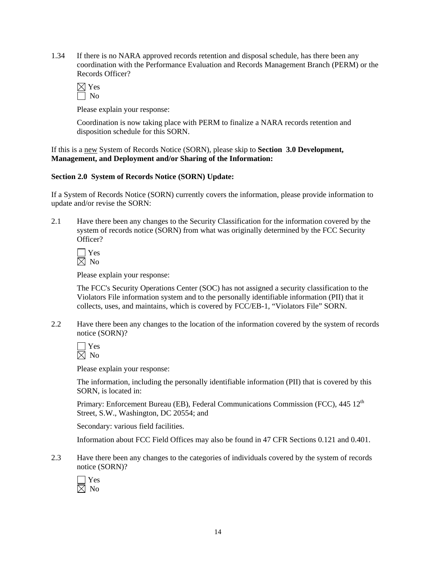1.34 If there is no NARA approved records retention and disposal schedule, has there been any coordination with the Performance Evaluation and Records Management Branch (PERM) or the Records Officer?

Please explain your response:

Coordination is now taking place with PERM to finalize a NARA records retention and disposition schedule for this SORN.

If this is a new System of Records Notice (SORN), please skip to **Section 3.0 Development, Management, and Deployment and/or Sharing of the Information:** 

#### **Section 2.0 System of Records Notice (SORN) Update:**

If a System of Records Notice (SORN) currently covers the information, please provide information to update and/or revise the SORN:

2.1 Have there been any changes to the Security Classification for the information covered by the system of records notice (SORN) from what was originally determined by the FCC Security Officer?

 $\Box$  Yes  $\boxtimes$  No

Please explain your response:

 The FCC's Security Operations Center (SOC) has not assigned a security classification to the Violators File information system and to the personally identifiable information (PII) that it collects, uses, and maintains, which is covered by FCC/EB-1, "Violators File" SORN.

2.2 Have there been any changes to the location of the information covered by the system of records notice (SORN)?

Please explain your response:

 The information, including the personally identifiable information (PII) that is covered by this SORN, is located in:

Primary: Enforcement Bureau (EB), Federal Communications Commission (FCC), 445 12<sup>th</sup> Street, S.W., Washington, DC 20554; and

Secondary: various field facilities.

Information about FCC Field Offices may also be found in 47 CFR Sections 0.121 and 0.401.

2.3 Have there been any changes to the categories of individuals covered by the system of records notice (SORN)?

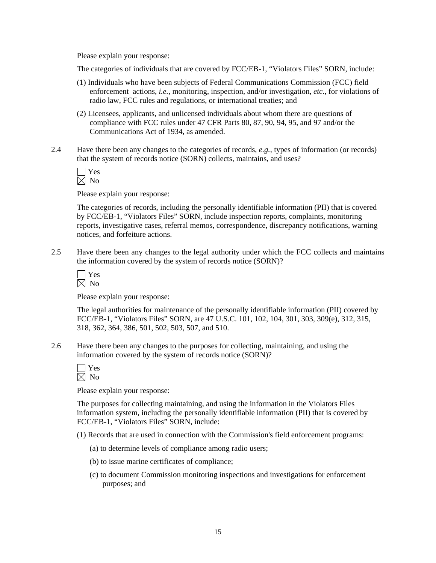Please explain your response:

The categories of individuals that are covered by FCC/EB-1, "Violators Files" SORN, include:

- (1) Individuals who have been subjects of Federal Communications Commission (FCC) field enforcement actions, *i.e.*, monitoring, inspection, and/or investigation, *etc*., for violations of radio law, FCC rules and regulations, or international treaties; and
- (2) Licensees, applicants, and unlicensed individuals about whom there are questions of compliance with FCC rules under 47 CFR Parts 80, 87, 90, 94, 95, and 97 and/or the Communications Act of 1934, as amended.
- 2.4 Have there been any changes to the categories of records, *e.g.*, types of information (or records) that the system of records notice (SORN) collects, maintains, and uses?

 $\Box$  Yes  $\overline{\boxtimes}$  No

Please explain your response:

The categories of records, including the personally identifiable information (PII) that is covered by FCC/EB-1, "Violators Files" SORN, include inspection reports, complaints, monitoring reports, investigative cases, referral memos, correspondence, discrepancy notifications, warning notices, and forfeiture actions.

2.5 Have there been any changes to the legal authority under which the FCC collects and maintains the information covered by the system of records notice (SORN)?

| $\overline{\phantom{a}}$ |  |
|--------------------------|--|
|                          |  |

Please explain your response:

 The legal authorities for maintenance of the personally identifiable information (PII) covered by FCC/EB-1, "Violators Files" SORN, are 47 U.S.C. 101, 102, 104, 301, 303, 309(e), 312, 315, 318, 362, 364, 386, 501, 502, 503, 507, and 510.

2.6 Have there been any changes to the purposes for collecting, maintaining, and using the information covered by the system of records notice (SORN)?

Please explain your response:

The purposes for collecting maintaining, and using the information in the Violators Files information system, including the personally identifiable information (PII) that is covered by FCC/EB-1, "Violators Files" SORN, include:

(1) Records that are used in connection with the Commission's field enforcement programs:

- (a) to determine levels of compliance among radio users;
- (b) to issue marine certificates of compliance;
- (c) to document Commission monitoring inspections and investigations for enforcement purposes; and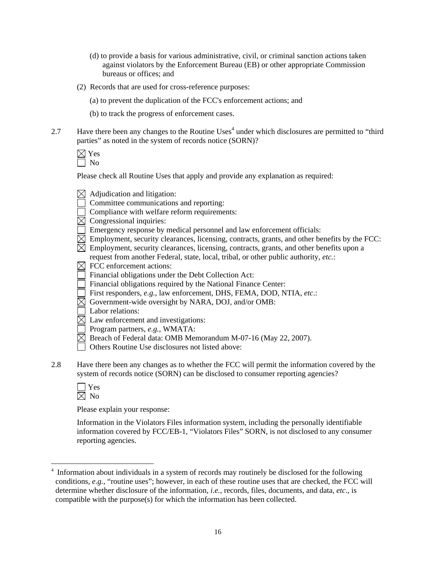- (d) to provide a basis for various administrative, civil, or criminal sanction actions taken against violators by the Enforcement Bureau (EB) or other appropriate Commission bureaus or offices; and
- (2) Records that are used for cross-reference purposes:
	- (a) to prevent the duplication of the FCC's enforcement actions; and
	- (b) to track the progress of enforcement cases.
- 2.7 Have there been any changes to the Routine Uses<sup>4</sup> under which disclosures are permitted to "third" parties" as noted in the system of records notice (SORN)?

 $\boxtimes$  Yes  $\Box$  No

Please check all Routine Uses that apply and provide any explanation as required:

- $\boxtimes$  Adjudication and litigation:
- Committee communications and reporting:
- Compliance with welfare reform requirements:
- $\boxtimes$  Congressional inquiries:
- Emergency response by medical personnel and law enforcement officials:
- $\boxtimes$  Employment, security clearances, licensing, contracts, grants, and other benefits by the FCC:
- $\boxtimes$  Employment, security clearances, licensing, contracts, grants, and other benefits upon a
- request from another Federal, state, local, tribal, or other public authority, *etc.*:
- $\boxtimes$  FCC enforcement actions:
- Financial obligations under the Debt Collection Act:
- Financial obligations required by the National Finance Center:
- First responders, *e.g.*, law enforcement, DHS, FEMA, DOD, NTIA, *etc*.:
- $\overline{\boxtimes}$  Government-wide oversight by NARA, DOJ, and/or OMB:
- Labor relations:
- $\overline{\boxtimes}$  Law enforcement and investigations:
- Program partners, *e.g.*, WMATA:
- $\boxtimes$  Breach of Federal data: OMB Memorandum M-07-16 (May 22, 2007).
- □ Others Routine Use disclosures not listed above:
- 2.8 Have there been any changes as to whether the FCC will permit the information covered by the system of records notice (SORN) can be disclosed to consumer reporting agencies?

| I | ś. |
|---|----|
|   |    |

 $\overline{a}$ 

Please explain your response:

Information in the Violators Files information system, including the personally identifiable information covered by FCC/EB-1, "Violators Files" SORN, is not disclosed to any consumer reporting agencies.

<sup>4</sup> Information about individuals in a system of records may routinely be disclosed for the following conditions, *e.g.,* "routine uses"; however, in each of these routine uses that are checked, the FCC will determine whether disclosure of the information, *i.e.*, records, files, documents, and data, *etc*., is compatible with the purpose(s) for which the information has been collected.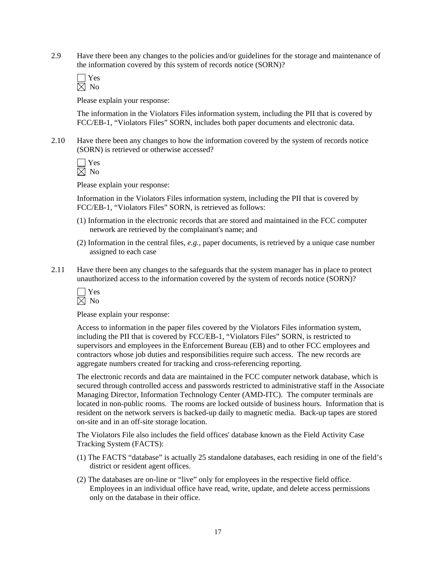2.9 Have there been any changes to the policies and/or guidelines for the storage and maintenance of the information covered by this system of records notice (SORN)?

 Yes  $\overline{\boxtimes}$  No

Please explain your response:

The information in the Violators Files information system, including the PII that is covered by FCC/EB-1, "Violators Files" SORN, includes both paper documents and electronic data.

2.10 Have there been any changes to how the information covered by the system of records notice (SORN) is retrieved or otherwise accessed?

 $\Box$  Yes  $\boxtimes$  No

Please explain your response:

Information in the Violators Files information system, including the PII that is covered by FCC/EB-1, "Violators Files" SORN, is retrieved as follows:

- (1) Information in the electronic records that are stored and maintained in the FCC computer network are retrieved by the complainant's name; and
- (2) Information in the central files, *e.g.*, paper documents, is retrieved by a unique case number assigned to each case
- 2.11 Have there been any changes to the safeguards that the system manager has in place to protect unauthorized access to the information covered by the system of records notice (SORN)?

 Yes  $\boxtimes$  No

Please explain your response:

Access to information in the paper files covered by the Violators Files information system, including the PII that is covered by FCC/EB-1, "Violators Files" SORN, is restricted to supervisors and employees in the Enforcement Bureau (EB) and to other FCC employees and contractors whose job duties and responsibilities require such access. The new records are aggregate numbers created for tracking and cross-referencing reporting.

The electronic records and data are maintained in the FCC computer network database, which is secured through controlled access and passwords restricted to administrative staff in the Associate Managing Director, Information Technology Center (AMD-ITC). The computer terminals are located in non-public rooms. The rooms are locked outside of business hours. Information that is resident on the network servers is backed-up daily to magnetic media. Back-up tapes are stored on-site and in an off-site storage location.

The Violators File also includes the field offices' database known as the Field Activity Case Tracking System (FACTS):

- (1) The FACTS "database" is actually 25 standalone databases, each residing in one of the field's district or resident agent offices.
- (2) The databases are on-line or "live" only for employees in the respective field office. Employees in an individual office have read, write, update, and delete access permissions only on the database in their office.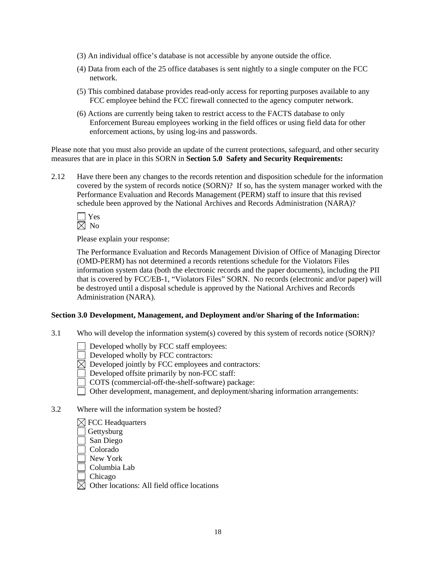- (3) An individual office's database is not accessible by anyone outside the office.
- (4) Data from each of the 25 office databases is sent nightly to a single computer on the FCC network.
- (5) This combined database provides read-only access for reporting purposes available to any FCC employee behind the FCC firewall connected to the agency computer network.
- (6) Actions are currently being taken to restrict access to the FACTS database to only Enforcement Bureau employees working in the field offices or using field data for other enforcement actions, by using log-ins and passwords.

Please note that you must also provide an update of the current protections, safeguard, and other security measures that are in place in this SORN in **Section 5.0 Safety and Security Requirements:** 

2.12 Have there been any changes to the records retention and disposition schedule for the information covered by the system of records notice (SORN)? If so, has the system manager worked with the Performance Evaluation and Records Management (PERM) staff to insure that this revised schedule been approved by the National Archives and Records Administration (NARA)?

Please explain your response:

 The Performance Evaluation and Records Management Division of Office of Managing Director (OMD-PERM) has not determined a records retentions schedule for the Violators Files information system data (both the electronic records and the paper documents), including the PII that is covered by FCC/EB-1, "Violators Files" SORN. No records (electronic and/or paper) will be destroyed until a disposal schedule is approved by the National Archives and Records Administration (NARA).

#### **Section 3.0 Development, Management, and Deployment and/or Sharing of the Information:**

- 3.1 Who will develop the information system(s) covered by this system of records notice (SORN)?
	- Developed wholly by FCC staff employees:
	- Developed wholly by FCC contractors:
	- $\overline{\boxtimes}$  Developed jointly by FCC employees and contractors:
	- Developed offsite primarily by non-FCC staff:
	- COTS (commercial-off-the-shelf-software) package:
	- Other development, management, and deployment/sharing information arrangements:
- 3.2 Where will the information system be hosted?

|  |  | $\boxtimes$ FCC Headquarters |
|--|--|------------------------------|
|--|--|------------------------------|

- Gettysburg
- San Diego
- Colorado
- New York
- Columbia Lab

Chicago

 $\boxtimes$  Other locations: All field office locations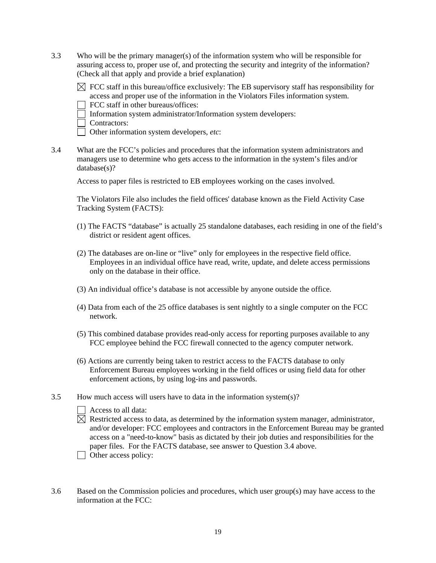3.3 Who will be the primary manager(s) of the information system who will be responsible for assuring access to, proper use of, and protecting the security and integrity of the information? (Check all that apply and provide a brief explanation)

 $\boxtimes$  FCC staff in this bureau/office exclusively: The EB supervisory staff has responsibility for access and proper use of the information in the Violators Files information system.

FCC staff in other bureaus/offices:

Information system administrator/Information system developers:

Contractors:

Other information system developers, *etc*:

3.4 What are the FCC's policies and procedures that the information system administrators and managers use to determine who gets access to the information in the system's files and/or database(s)?

Access to paper files is restricted to EB employees working on the cases involved.

The Violators File also includes the field offices' database known as the Field Activity Case Tracking System (FACTS):

- (1) The FACTS "database" is actually 25 standalone databases, each residing in one of the field's district or resident agent offices.
- (2) The databases are on-line or "live" only for employees in the respective field office. Employees in an individual office have read, write, update, and delete access permissions only on the database in their office.
- (3) An individual office's database is not accessible by anyone outside the office.
- (4) Data from each of the 25 office databases is sent nightly to a single computer on the FCC network.
- (5) This combined database provides read-only access for reporting purposes available to any FCC employee behind the FCC firewall connected to the agency computer network.
- (6) Actions are currently being taken to restrict access to the FACTS database to only Enforcement Bureau employees working in the field offices or using field data for other enforcement actions, by using log-ins and passwords.
- 3.5 How much access will users have to data in the information system(s)?
	- Access to all data:
	- $\boxtimes$  Restricted access to data, as determined by the information system manager, administrator, and/or developer: FCC employees and contractors in the Enforcement Bureau may be granted access on a "need-to-know" basis as dictated by their job duties and responsibilities for the paper files. For the FACTS database, see answer to Question 3.4 above.
	- $\Box$  Other access policy:
- 3.6 Based on the Commission policies and procedures, which user group(s) may have access to the information at the FCC: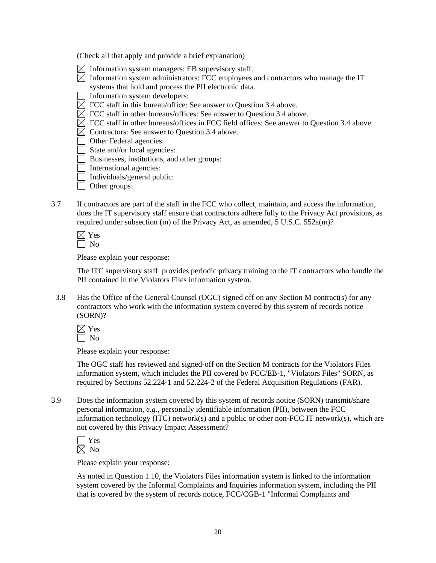(Check all that apply and provide a brief explanation)

- $\boxtimes$  Information system managers: EB supervisory staff.
- $\boxtimes$  Information system administrators: FCC employees and contractors who manage the IT systems that hold and process the PII electronic data.
- Information system developers:
- $\boxtimes$  FCC staff in this bureau/office: See answer to Question 3.4 above.
- $\overline{\boxtimes}$  FCC staff in other bureaus/offices: See answer to Question 3.4 above.
- $\boxtimes$  FCC staff in other bureaus/offices in FCC field offices: See answer to Question 3.4 above.
- $\boxtimes$  Contractors: See answer to Question 3.4 above.
- Other Federal agencies:
- $\Box$  State and/or local agencies:
- Businesses, institutions, and other groups:
- International agencies:
- Individuals/general public:
- **Other groups:**
- 3.7 If contractors are part of the staff in the FCC who collect, maintain, and access the information, does the IT supervisory staff ensure that contractors adhere fully to the Privacy Act provisions, as required under subsection (m) of the Privacy Act, as amended, 5 U.S.C. 552a(m)?

Please explain your response:

The ITC supervisory staff provides periodic privacy training to the IT contractors who handle the PII contained in the Violators Files information system.

3.8 Has the Office of the General Counsel (OGC) signed off on any Section M contract(s) for any contractors who work with the information system covered by this system of records notice (SORN)?

Please explain your response:

The OGC staff has reviewed and signed-off on the Section M contracts for the Violators Files information system, which includes the PII covered by FCC/EB-1, "Violators Files" SORN, as required by Sections 52.224-1 and 52.224-2 of the Federal Acquisition Regulations (FAR).

3.9 Does the information system covered by this system of records notice (SORN) transmit/share personal information, *e.g.*, personally identifiable information (PII), between the FCC information technology (ITC) network(s) and a public or other non-FCC IT network(s), which are not covered by this Privacy Impact Assessment?

Please explain your response:

As noted in Question 1.10, the Violators Files information system is linked to the information system covered by the Informal Complaints and Inquiries information system, including the PII that is covered by the system of records notice, FCC/CGB-1 "Informal Complaints and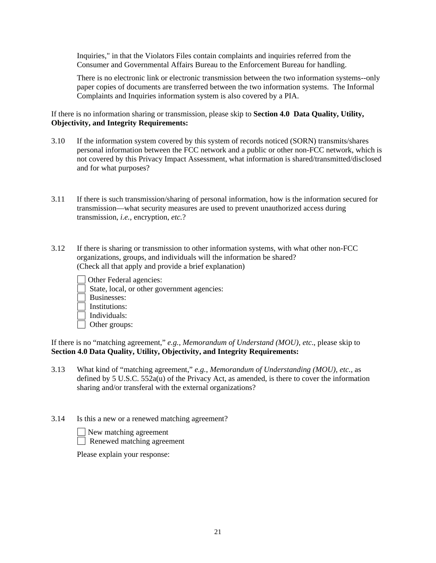Inquiries," in that the Violators Files contain complaints and inquiries referred from the Consumer and Governmental Affairs Bureau to the Enforcement Bureau for handling.

There is no electronic link or electronic transmission between the two information systems--only paper copies of documents are transferred between the two information systems. The Informal Complaints and Inquiries information system is also covered by a PIA.

If there is no information sharing or transmission, please skip to **Section 4.0 Data Quality, Utility, Objectivity, and Integrity Requirements:**

- 3.10 If the information system covered by this system of records noticed (SORN) transmits/shares personal information between the FCC network and a public or other non-FCC network, which is not covered by this Privacy Impact Assessment, what information is shared/transmitted/disclosed and for what purposes?
- 3.11 If there is such transmission/sharing of personal information, how is the information secured for transmission—what security measures are used to prevent unauthorized access during transmission, *i.e.*, encryption, *etc.*?
- 3.12 If there is sharing or transmission to other information systems, with what other non-FCC organizations, groups, and individuals will the information be shared? (Check all that apply and provide a brief explanation)
	- Other Federal agencies:
	- State, local, or other government agencies:
	- Businesses:
	- $\Box$  Institutions:
	- $\Box$  Individuals:
	- Other groups:

If there is no "matching agreement," *e.g., Memorandum of Understand (MOU), etc*., please skip to **Section 4.0 Data Quality, Utility, Objectivity, and Integrity Requirements:** 

- 3.13 What kind of "matching agreement," *e.g.*, *Memorandum of Understanding (MOU)*, *etc.*, as defined by 5 U.S.C. 552a(u) of the Privacy Act, as amended, is there to cover the information sharing and/or transferal with the external organizations?
- 3.14 Is this a new or a renewed matching agreement?
	- New matching agreement
	- Renewed matching agreement

Please explain your response: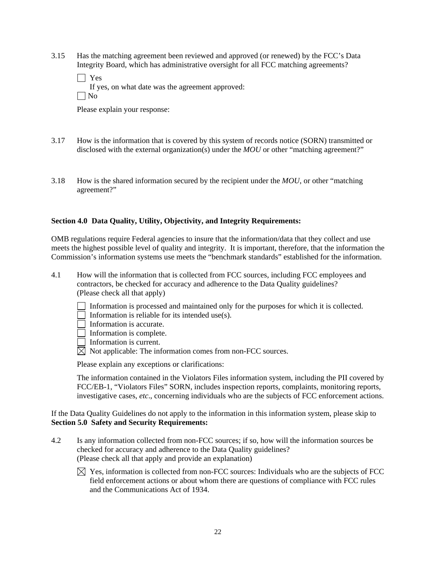3.15 Has the matching agreement been reviewed and approved (or renewed) by the FCC's Data Integrity Board, which has administrative oversight for all FCC matching agreements?

| $\Box$ Yes                                       |
|--------------------------------------------------|
| If yes, on what date was the agreement approved: |
| $\Box$ No                                        |

Please explain your response:

- 3.17 How is the information that is covered by this system of records notice (SORN) transmitted or disclosed with the external organization(s) under the *MOU* or other "matching agreement?"
- 3.18 How is the shared information secured by the recipient under the *MOU*, or other "matching agreement?"

### **Section 4.0 Data Quality, Utility, Objectivity, and Integrity Requirements:**

OMB regulations require Federal agencies to insure that the information/data that they collect and use meets the highest possible level of quality and integrity. It is important, therefore, that the information the Commission's information systems use meets the "benchmark standards" established for the information.

- 4.1 How will the information that is collected from FCC sources, including FCC employees and contractors, be checked for accuracy and adherence to the Data Quality guidelines? (Please check all that apply)
	- Information is processed and maintained only for the purposes for which it is collected.
	- Information is reliable for its intended use(s).
	- $\Box$  Information is accurate.
	- Information is complete.
	- Information is current.
	- $\boxtimes$  Not applicable: The information comes from non-FCC sources.

Please explain any exceptions or clarifications:

The information contained in the Violators Files information system, including the PII covered by FCC/EB-1, "Violators Files" SORN, includes inspection reports, complaints, monitoring reports, investigative cases, *etc*., concerning individuals who are the subjects of FCC enforcement actions.

If the Data Quality Guidelines do not apply to the information in this information system, please skip to **Section 5.0 Safety and Security Requirements:** 

- 4.2 Is any information collected from non-FCC sources; if so, how will the information sources be checked for accuracy and adherence to the Data Quality guidelines? (Please check all that apply and provide an explanation)
	- $\boxtimes$  Yes, information is collected from non-FCC sources: Individuals who are the subjects of FCC field enforcement actions or about whom there are questions of compliance with FCC rules and the Communications Act of 1934.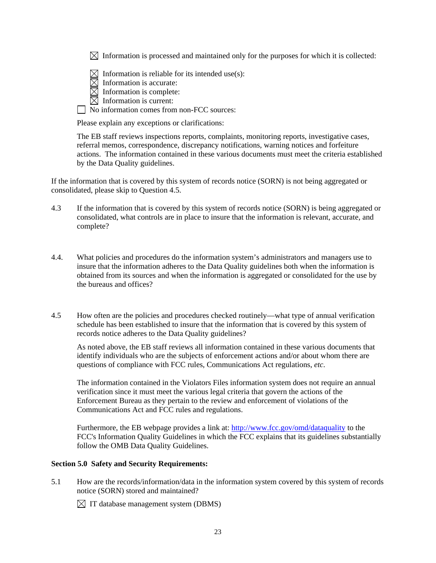$\boxtimes$  Information is processed and maintained only for the purposes for which it is collected:

 $\boxtimes$  Information is reliable for its intended use(s):

- $\overline{\boxtimes}$  Information is accurate:
- $\overline{\boxtimes}$  Information is complete:
- $\boxtimes$  Information is current:

No information comes from non-FCC sources:

Please explain any exceptions or clarifications:

The EB staff reviews inspections reports, complaints, monitoring reports, investigative cases, referral memos, correspondence, discrepancy notifications, warning notices and forfeiture actions. The information contained in these various documents must meet the criteria established by the Data Quality guidelines.

If the information that is covered by this system of records notice (SORN) is not being aggregated or consolidated, please skip to Question 4.5.

- 4.3 If the information that is covered by this system of records notice (SORN) is being aggregated or consolidated, what controls are in place to insure that the information is relevant, accurate, and complete?
- 4.4. What policies and procedures do the information system's administrators and managers use to insure that the information adheres to the Data Quality guidelines both when the information is obtained from its sources and when the information is aggregated or consolidated for the use by the bureaus and offices?
- 4.5 How often are the policies and procedures checked routinely—what type of annual verification schedule has been established to insure that the information that is covered by this system of records notice adheres to the Data Quality guidelines?

 As noted above, the EB staff reviews all information contained in these various documents that identify individuals who are the subjects of enforcement actions and/or about whom there are questions of compliance with FCC rules, Communications Act regulations, *etc*.

The information contained in the Violators Files information system does not require an annual verification since it must meet the various legal criteria that govern the actions of the Enforcement Bureau as they pertain to the review and enforcement of violations of the Communications Act and FCC rules and regulations.

Furthermore, the EB webpage provides a link at: http://www.fcc.gov/omd/dataquality to the FCC's Information Quality Guidelines in which the FCC explains that its guidelines substantially follow the OMB Data Quality Guidelines.

### **Section 5.0 Safety and Security Requirements:**

5.1 How are the records/information/data in the information system covered by this system of records notice (SORN) stored and maintained?

 $\boxtimes$  IT database management system (DBMS)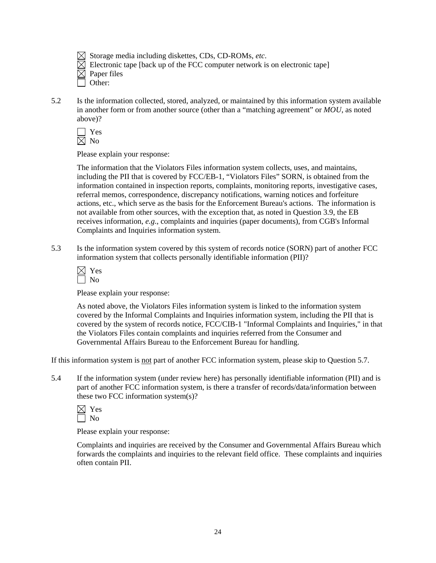$\boxtimes$  Storage media including diskettes, CDs, CD-ROMs, *etc*.

Electronic tape [back up of the FCC computer network is on electronic tape]

- $\boxtimes$  Paper files
	- Other:
- 5.2 Is the information collected, stored, analyzed, or maintained by this information system available in another form or from another source (other than a "matching agreement" or *MOU*, as noted above)?

 Yes  $\boxtimes$  No

Please explain your response:

The information that the Violators Files information system collects, uses, and maintains, including the PII that is covered by FCC/EB-1, "Violators Files" SORN, is obtained from the information contained in inspection reports, complaints, monitoring reports, investigative cases, referral memos, correspondence, discrepancy notifications, warning notices and forfeiture actions, etc., which serve as the basis for the Enforcement Bureau's actions. The information is not available from other sources, with the exception that, as noted in Question 3.9, the EB receives information, *e.g*., complaints and inquiries (paper documents), from CGB's Informal Complaints and Inquiries information system.

5.3 Is the information system covered by this system of records notice (SORN) part of another FCC information system that collects personally identifiable information (PII)?

| r<br>es |
|---------|
| ∩       |

Please explain your response:

As noted above, the Violators Files information system is linked to the information system covered by the Informal Complaints and Inquiries information system, including the PII that is covered by the system of records notice, FCC/CIB-1 "Informal Complaints and Inquiries," in that the Violators Files contain complaints and inquiries referred from the Consumer and Governmental Affairs Bureau to the Enforcement Bureau for handling.

If this information system is not part of another FCC information system, please skip to Question 5.7.

5.4 If the information system (under review here) has personally identifiable information (PII) and is part of another FCC information system, is there a transfer of records/data/information between these two FCC information system(s)?



Please explain your response:

Complaints and inquiries are received by the Consumer and Governmental Affairs Bureau which forwards the complaints and inquiries to the relevant field office. These complaints and inquiries often contain PII.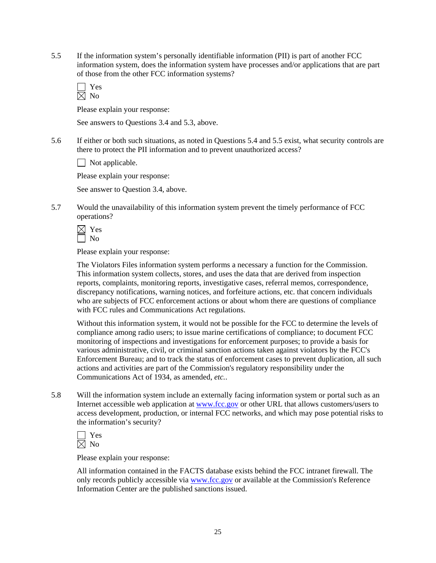5.5 If the information system's personally identifiable information (PII) is part of another FCC information system, does the information system have processes and/or applications that are part of those from the other FCC information systems?

 Yes  $\bar{\boxtimes}$  No

Please explain your response:

See answers to Questions 3.4 and 5.3, above.

5.6 If either or both such situations, as noted in Questions 5.4 and 5.5 exist, what security controls are there to protect the PII information and to prevent unauthorized access?

 $\Box$  Not applicable.

Please explain your response:

See answer to Question 3.4, above.

5.7 Would the unavailability of this information system prevent the timely performance of FCC operations?

 Yes  $\Box$  No

Please explain your response:

The Violators Files information system performs a necessary a function for the Commission. This information system collects, stores, and uses the data that are derived from inspection reports, complaints, monitoring reports, investigative cases, referral memos, correspondence, discrepancy notifications, warning notices, and forfeiture actions, etc. that concern individuals who are subjects of FCC enforcement actions or about whom there are questions of compliance with FCC rules and Communications Act regulations.

Without this information system, it would not be possible for the FCC to determine the levels of compliance among radio users; to issue marine certifications of compliance; to document FCC monitoring of inspections and investigations for enforcement purposes; to provide a basis for various administrative, civil, or criminal sanction actions taken against violators by the FCC's Enforcement Bureau; and to track the status of enforcement cases to prevent duplication, all such actions and activities are part of the Commission's regulatory responsibility under the Communications Act of 1934, as amended, *etc.*.

5.8 Will the information system include an externally facing information system or portal such as an Internet accessible web application at www.fcc.gov or other URL that allows customers/users to access development, production, or internal FCC networks, and which may pose potential risks to the information's security?

| r. |
|----|
|    |

Please explain your response:

All information contained in the FACTS database exists behind the FCC intranet firewall. The only records publicly accessible via www.fcc.gov or available at the Commission's Reference Information Center are the published sanctions issued.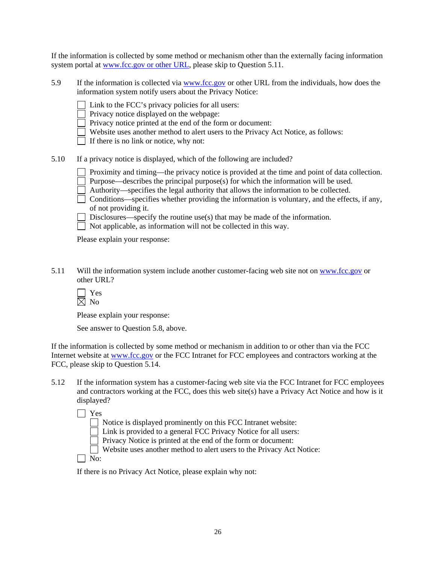If the information is collected by some method or mechanism other than the externally facing information system portal at www.fcc.gov or other URL, please skip to Question 5.11.

- 5.9 If the information is collected via www.fcc.gov or other URL from the individuals, how does the information system notify users about the Privacy Notice:
	- Link to the FCC's privacy policies for all users:

Privacy notice displayed on the webpage:

Privacy notice printed at the end of the form or document:

Website uses another method to alert users to the Privacy Act Notice, as follows:

If there is no link or notice, why not:

- 5.10 If a privacy notice is displayed, which of the following are included?
	- Proximity and timing—the privacy notice is provided at the time and point of data collection.
	- Purpose—describes the principal purpose(s) for which the information will be used.
	- Authority—specifies the legal authority that allows the information to be collected.
	- $\Box$  Conditions—specifies whether providing the information is voluntary, and the effects, if any, of not providing it.

 $\Box$  Disclosures—specify the routine use(s) that may be made of the information.

 $\Box$  Not applicable, as information will not be collected in this way.

Please explain your response:

- 5.11 Will the information system include another customer-facing web site not on www.fcc.gov or other URL?
	- Yes  $\overline{\boxtimes}$  No

Please explain your response:

See answer to Question 5.8, above.

If the information is collected by some method or mechanism in addition to or other than via the FCC Internet website at www.fcc.gov or the FCC Intranet for FCC employees and contractors working at the FCC, please skip to Question 5.14.

5.12 If the information system has a customer-facing web site via the FCC Intranet for FCC employees and contractors working at the FCC, does this web site(s) have a Privacy Act Notice and how is it displayed?

Yes

Notice is displayed prominently on this FCC Intranet website:

Link is provided to a general FCC Privacy Notice for all users:

 $\Box$  Privacy Notice is printed at the end of the form or document:

Website uses another method to alert users to the Privacy Act Notice:

 $\Box$  No:

If there is no Privacy Act Notice, please explain why not: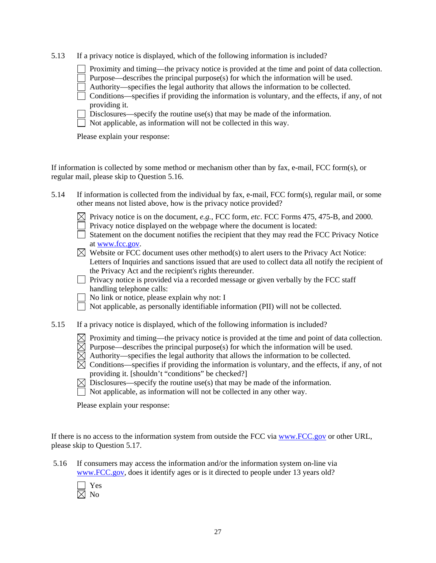|  |  | 5.13 If a privacy notice is displayed, which of the following information is included? |  |  |
|--|--|----------------------------------------------------------------------------------------|--|--|
|  |  |                                                                                        |  |  |

Proximity and timing—the privacy notice is provided at the time and point of data collection.

Purpose—describes the principal purpose(s) for which the information will be used.

- Authority—specifies the legal authority that allows the information to be collected.
- $\Box$  Conditions—specifies if providing the information is voluntary, and the effects, if any, of not providing it.
- Disclosures—specify the routine use(s) that may be made of the information.
- Not applicable, as information will not be collected in this way.

Please explain your response:

If information is collected by some method or mechanism other than by fax, e-mail, FCC form(s), or regular mail, please skip to Question 5.16.

- 5.14 If information is collected from the individual by fax, e-mail, FCC form(s), regular mail, or some other means not listed above, how is the privacy notice provided?
	- $\boxtimes$  Privacy notice is on the document, *e.g.*, FCC form, *etc*. FCC Forms 475, 475-B, and 2000.
		- Privacy notice displayed on the webpage where the document is located:
	- Statement on the document notifies the recipient that they may read the FCC Privacy Notice at www.fcc.gov.
	- $\boxtimes$  Website or FCC document uses other method(s) to alert users to the Privacy Act Notice: Letters of Inquiries and sanctions issued that are used to collect data all notify the recipient of the Privacy Act and the recipient's rights thereunder.
	- $\Box$  Privacy notice is provided via a recorded message or given verbally by the FCC staff handling telephone calls:
	- No link or notice, please explain why not: I
	- Not applicable, as personally identifiable information (PII) will not be collected.
- 5.15 If a privacy notice is displayed, which of the following information is included?
	- $\boxtimes$  Proximity and timing—the privacy notice is provided at the time and point of data collection.
	- $\boxtimes$  Purpose—describes the principal purpose(s) for which the information will be used.
	- $\boxtimes$  Authority—specifies the legal authority that allows the information to be collected.
	- $\overline{\boxtimes}$  Conditions—specifies if providing the information is voluntary, and the effects, if any, of not providing it. [shouldn't "conditions" be checked?]
	- $\boxtimes$  Disclosures—specify the routine use(s) that may be made of the information.
	- $\Box$  Not applicable, as information will not be collected in any other way.

Please explain your response:

If there is no access to the information system from outside the FCC via www.FCC.gov or other URL, please skip to Question 5.17.

 5.16 If consumers may access the information and/or the information system on-line via www.FCC.gov, does it identify ages or is it directed to people under 13 years old?

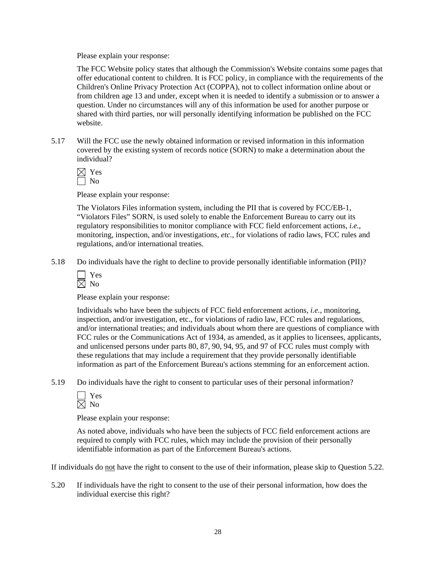Please explain your response:

The FCC Website policy states that although the Commission's Website contains some pages that offer educational content to children. It is FCC policy, in compliance with the requirements of the Children's Online Privacy Protection Act (COPPA), not to collect information online about or from children age 13 and under, except when it is needed to identify a submission or to answer a question. Under no circumstances will any of this information be used for another purpose or shared with third parties, nor will personally identifying information be published on the FCC website.

5.17 Will the FCC use the newly obtained information or revised information in this information covered by the existing system of records notice (SORN) to make a determination about the individual?

 Yes  $\Box$  No

Please explain your response:

The Violators Files information system, including the PII that is covered by FCC/EB-1, "Violators Files" SORN, is used solely to enable the Enforcement Bureau to carry out its regulatory responsibilities to monitor compliance with FCC field enforcement actions, *i.e.*, monitoring, inspection, and/or investigations, *etc.*, for violations of radio laws, FCC rules and regulations, and/or international treaties.

5.18 Do individuals have the right to decline to provide personally identifiable information (PII)?

| ÷<br>۳ |
|--------|
|        |

Please explain your response:

Individuals who have been the subjects of FCC field enforcement actions, *i.e.*, monitoring, inspection, and/or investigation, etc., for violations of radio law, FCC rules and regulations, and/or international treaties; and individuals about whom there are questions of compliance with FCC rules or the Communications Act of 1934, as amended, as it applies to licensees, applicants, and unlicensed persons under parts 80, 87, 90, 94, 95, and 97 of FCC rules must comply with these regulations that may include a requirement that they provide personally identifiable information as part of the Enforcement Bureau's actions stemming for an enforcement action.

5.19 Do individuals have the right to consent to particular uses of their personal information?

Please explain your response:

As noted above, individuals who have been the subjects of FCC field enforcement actions are required to comply with FCC rules, which may include the provision of their personally identifiable information as part of the Enforcement Bureau's actions.

If individuals do not have the right to consent to the use of their information, please skip to Question 5.22.

5.20 If individuals have the right to consent to the use of their personal information, how does the individual exercise this right?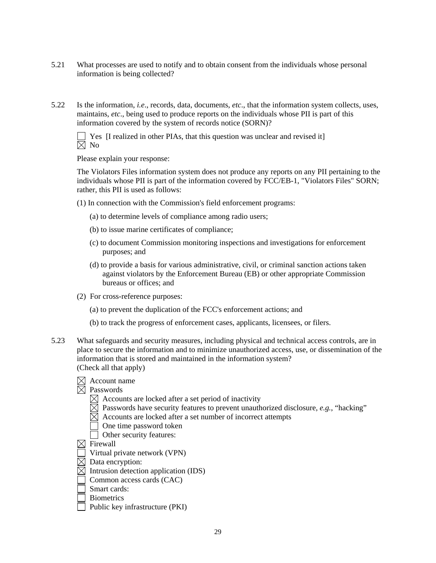- 5.21 What processes are used to notify and to obtain consent from the individuals whose personal information is being collected?
- 5.22 Is the information, *i.e*., records, data, documents, *etc*., that the information system collects, uses, maintains, *etc*., being used to produce reports on the individuals whose PII is part of this information covered by the system of records notice (SORN)?

 Yes [I realized in other PIAs, that this question was unclear and revised it]  $\boxtimes$  No

Please explain your response:

The Violators Files information system does not produce any reports on any PII pertaining to the individuals whose PII is part of the information covered by FCC/EB-1, "Violators Files" SORN; rather, this PII is used as follows:

- (1) In connection with the Commission's field enforcement programs:
	- (a) to determine levels of compliance among radio users;
	- (b) to issue marine certificates of compliance;
	- (c) to document Commission monitoring inspections and investigations for enforcement purposes; and
	- (d) to provide a basis for various administrative, civil, or criminal sanction actions taken against violators by the Enforcement Bureau (EB) or other appropriate Commission bureaus or offices; and
- (2) For cross-reference purposes:
	- (a) to prevent the duplication of the FCC's enforcement actions; and
	- (b) to track the progress of enforcement cases, applicants, licensees, or filers.
- 5.23 What safeguards and security measures, including physical and technical access controls, are in place to secure the information and to minimize unauthorized access, use, or dissemination of the information that is stored and maintained in the information system? (Check all that apply)

|  | $\boxtimes$ Account name |  |
|--|--------------------------|--|
|--|--------------------------|--|

- $\boxtimes$  Passwords
	- $\boxtimes$  Accounts are locked after a set period of inactivity
	- $\overline{\boxtimes}$  Passwords have security features to prevent unauthorized disclosure, *e.g.*, "hacking"
	- $\boxtimes$  Accounts are locked after a set number of incorrect attempts
		- One time password token
	- Other security features:

 $\boxtimes$  Firewall

- Virtual private network (VPN)
- $\boxtimes$  Data encryption:
- $\boxtimes$  Intrusion detection application (IDS)
- Common access cards (CAC)
- Smart cards:
- **Biometrics**
- **Public key infrastructure (PKI)**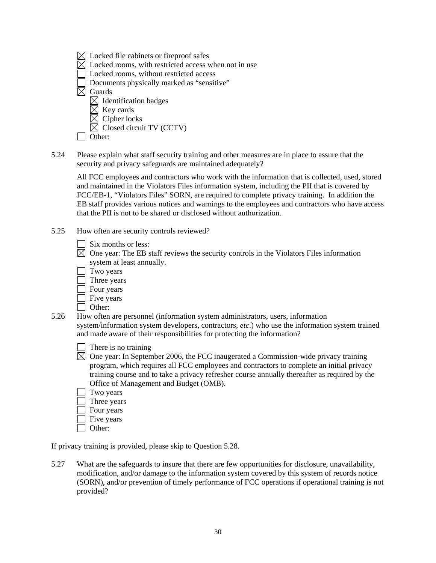- $\boxtimes$  Locked file cabinets or fireproof safes
- $\boxtimes$  Locked rooms, with restricted access when not in use
- Locked rooms, without restricted access
- Documents physically marked as "sensitive"

 $\overline{\boxtimes}$  Guards

- $\boxtimes$  Identification badges
- $\boxtimes$  Key cards
- Cipher locks
- $\boxtimes$  Closed circuit TV (CCTV)

| ٧ |
|---|
|---|

5.24 Please explain what staff security training and other measures are in place to assure that the security and privacy safeguards are maintained adequately?

 All FCC employees and contractors who work with the information that is collected, used, stored and maintained in the Violators Files information system, including the PII that is covered by FCC/EB-1, "Violators Files" SORN, are required to complete privacy training. In addition the EB staff provides various notices and warnings to the employees and contractors who have access that the PII is not to be shared or disclosed without authorization.

- 5.25 How often are security controls reviewed?
	- Six months or less:
	- $\boxtimes$  One year: The EB staff reviews the security controls in the Violators Files information system at least annually.
		- Two years
		- Three years
		- Four years
		- **Five years**
	- Other:
- 5.26 How often are personnel (information system administrators, users, information system/information system developers, contractors, *etc*.) who use the information system trained and made aware of their responsibilities for protecting the information?
	- There is no training
	- $\boxtimes$  One year: In September 2006, the FCC inaugerated a Commission-wide privacy training program, which requires all FCC employees and contractors to complete an initial privacy training course and to take a privacy refresher course annually thereafter as required by the Office of Management and Budget (OMB).
		- Two years
		- Three years
	- Four years Five years
	- Other:
	-

If privacy training is provided, please skip to Question 5.28.

5.27 What are the safeguards to insure that there are few opportunities for disclosure, unavailability, modification, and/or damage to the information system covered by this system of records notice (SORN), and/or prevention of timely performance of FCC operations if operational training is not provided?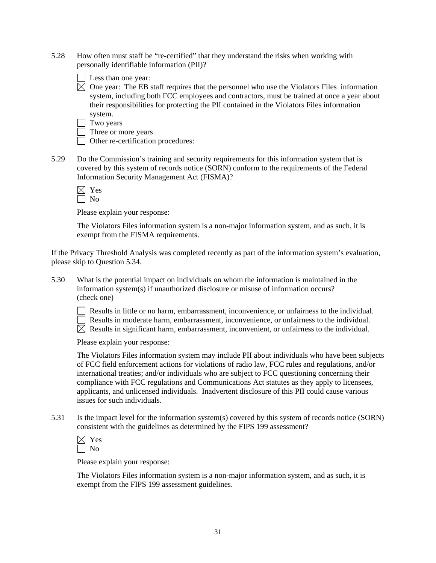- 5.28 How often must staff be "re-certified" that they understand the risks when working with personally identifiable information (PII)?
	- Less than one year:
	- $\overline{\boxtimes}$  One year: The EB staff requires that the personnel who use the Violators Files information system, including both FCC employees and contractors, must be trained at once a year about their responsibilities for protecting the PII contained in the Violators Files information system.

Two years

Three or more years

Other re-certification procedures:

5.29 Do the Commission's training and security requirements for this information system that is covered by this system of records notice (SORN) conform to the requirements of the Federal Information Security Management Act (FISMA)?

Please explain your response:

The Violators Files information system is a non-major information system, and as such, it is exempt from the FISMA requirements.

If the Privacy Threshold Analysis was completed recently as part of the information system's evaluation, please skip to Question 5.34.

5.30 What is the potential impact on individuals on whom the information is maintained in the information system(s) if unauthorized disclosure or misuse of information occurs? (check one)



 Results in little or no harm, embarrassment, inconvenience, or unfairness to the individual.  $\Box$  Results in moderate harm, embarrassment, inconvenience, or unfairness to the individual.  $\boxtimes$  Results in significant harm, embarrassment, inconvenient, or unfairness to the individual.

Please explain your response:

The Violators Files information system may include PII about individuals who have been subjects of FCC field enforcement actions for violations of radio law, FCC rules and regulations, and/or international treaties; and/or individuals who are subject to FCC questioning concerning their compliance with FCC regulations and Communications Act statutes as they apply to licensees, applicants, and unlicensed individuals. Inadvertent disclosure of this PII could cause various issues for such individuals.

5.31 Is the impact level for the information system(s) covered by this system of records notice (SORN) consistent with the guidelines as determined by the FIPS 199 assessment?

| r<br>2<br>r.<br>., |
|--------------------|
| ∩                  |

Please explain your response:

The Violators Files information system is a non-major information system, and as such, it is exempt from the FIPS 199 assessment guidelines.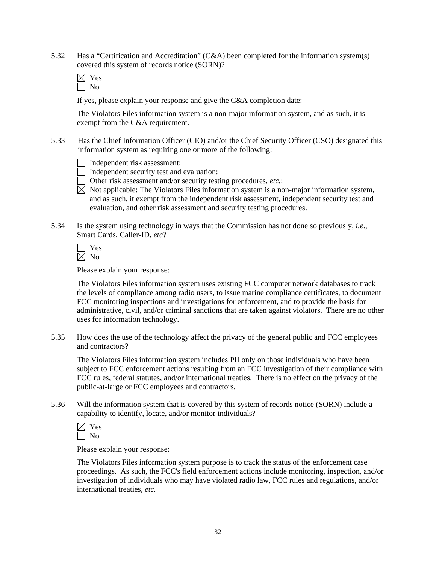5.32 Has a "Certification and Accreditation" (C&A) been completed for the information system(s) covered this system of records notice (SORN)?

If yes, please explain your response and give the C&A completion date:

The Violators Files information system is a non-major information system, and as such, it is exempt from the C&A requirement.

- 5.33 Has the Chief Information Officer (CIO) and/or the Chief Security Officer (CSO) designated this information system as requiring one or more of the following:
	- Independent risk assessment:
	- Independent security test and evaluation:
	- Other risk assessment and/or security testing procedures, *etc.*:
	- $\overline{\boxtimes}$  Not applicable: The Violators Files information system is a non-major information system, and as such, it exempt from the independent risk assessment, independent security test and evaluation, and other risk assessment and security testing procedures.
- 5.34 Is the system using technology in ways that the Commission has not done so previously, *i.e*., Smart Cards, Caller-ID, *etc*?

Please explain your response:

The Violators Files information system uses existing FCC computer network databases to track the levels of compliance among radio users, to issue marine compliance certificates, to document FCC monitoring inspections and investigations for enforcement, and to provide the basis for administrative, civil, and/or criminal sanctions that are taken against violators. There are no other uses for information technology.

5.35 How does the use of the technology affect the privacy of the general public and FCC employees and contractors?

The Violators Files information system includes PII only on those individuals who have been subject to FCC enforcement actions resulting from an FCC investigation of their compliance with FCC rules, federal statutes, and/or international treaties. There is no effect on the privacy of the public-at-large or FCC employees and contractors.

5.36 Will the information system that is covered by this system of records notice (SORN) include a capability to identify, locate, and/or monitor individuals?

Please explain your response:

 The Violators Files information system purpose is to track the status of the enforcement case proceedings. As such, the FCC's field enforcement actions include monitoring, inspection, and/or investigation of individuals who may have violated radio law, FCC rules and regulations, and/or international treaties, *etc.*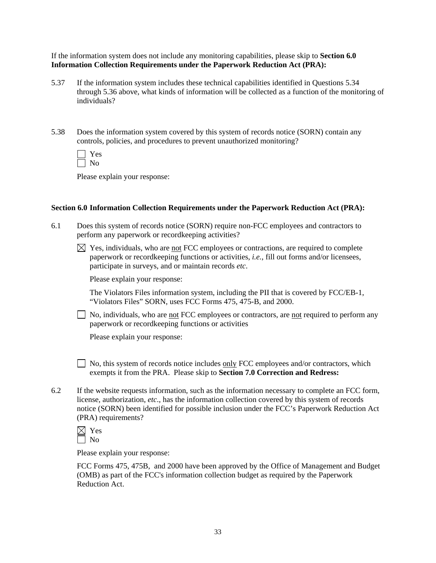If the information system does not include any monitoring capabilities, please skip to **Section 6.0 Information Collection Requirements under the Paperwork Reduction Act (PRA):** 

- 5.37 If the information system includes these technical capabilities identified in Questions 5.34 through 5.36 above, what kinds of information will be collected as a function of the monitoring of individuals?
- 5.38 Does the information system covered by this system of records notice (SORN) contain any controls, policies, and procedures to prevent unauthorized monitoring?

| ×.<br>− |
|---------|
|         |

Please explain your response:

#### **Section 6.0 Information Collection Requirements under the Paperwork Reduction Act (PRA):**

- 6.1 Does this system of records notice (SORN) require non-FCC employees and contractors to perform any paperwork or recordkeeping activities?
	- $\boxtimes$  Yes, individuals, who are not FCC employees or contractions, are required to complete paperwork or recordkeeping functions or activities, *i.e.*, fill out forms and/or licensees, participate in surveys, and or maintain records *etc*.

Please explain your response:

 The Violators Files information system, including the PII that is covered by FCC/EB-1, "Violators Files" SORN, uses FCC Forms 475, 475-B, and 2000.

 $\Box$  No, individuals, who are not FCC employees or contractors, are not required to perform any paperwork or recordkeeping functions or activities

Please explain your response:

 No, this system of records notice includes only FCC employees and/or contractors, which exempts it from the PRA. Please skip to **Section 7.0 Correction and Redress:** 

6.2 If the website requests information, such as the information necessary to complete an FCC form, license, authorization, *etc*., has the information collection covered by this system of records notice (SORN) been identified for possible inclusion under the FCC's Paperwork Reduction Act (PRA) requirements?

Please explain your response:

FCC Forms 475, 475B, and 2000 have been approved by the Office of Management and Budget (OMB) as part of the FCC's information collection budget as required by the Paperwork Reduction Act.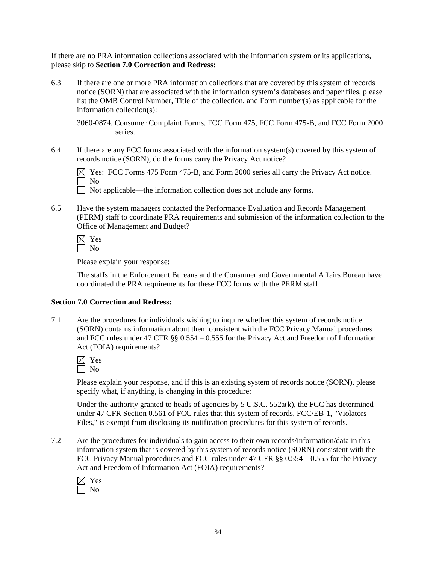If there are no PRA information collections associated with the information system or its applications, please skip to **Section 7.0 Correction and Redress:**

6.3 If there are one or more PRA information collections that are covered by this system of records notice (SORN) that are associated with the information system's databases and paper files, please list the OMB Control Number, Title of the collection, and Form number(s) as applicable for the information collection(s):

3060-0874, Consumer Complaint Forms, FCC Form 475, FCC Form 475-B, and FCC Form 2000 series.

6.4 If there are any FCC forms associated with the information system(s) covered by this system of records notice (SORN), do the forms carry the Privacy Act notice?

 $\boxtimes$  Yes: FCC Forms 475 Form 475-B, and Form 2000 series all carry the Privacy Act notice. No

Not applicable—the information collection does not include any forms.

6.5 Have the system managers contacted the Performance Evaluation and Records Management (PERM) staff to coordinate PRA requirements and submission of the information collection to the Office of Management and Budget?

Please explain your response:

The staffs in the Enforcement Bureaus and the Consumer and Governmental Affairs Bureau have coordinated the PRA requirements for these FCC forms with the PERM staff.

#### **Section 7.0 Correction and Redress:**

7.1 Are the procedures for individuals wishing to inquire whether this system of records notice (SORN) contains information about them consistent with the FCC Privacy Manual procedures and FCC rules under 47 CFR §§ 0.554 – 0.555 for the Privacy Act and Freedom of Information Act (FOIA) requirements?

Please explain your response, and if this is an existing system of records notice (SORN), please specify what, if anything, is changing in this procedure:

Under the authority granted to heads of agencies by  $5 \text{ U.S.C. } 552a(k)$ , the FCC has determined under 47 CFR Section 0.561 of FCC rules that this system of records, FCC/EB-1, "Violators Files," is exempt from disclosing its notification procedures for this system of records.

7.2 Are the procedures for individuals to gain access to their own records/information/data in this information system that is covered by this system of records notice (SORN) consistent with the FCC Privacy Manual procedures and FCC rules under 47 CFR §§ 0.554 – 0.555 for the Privacy Act and Freedom of Information Act (FOIA) requirements?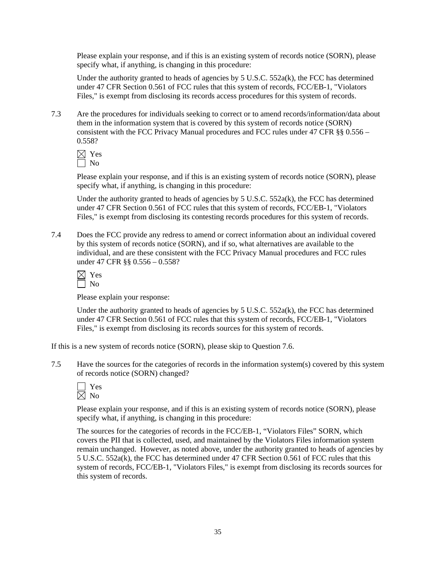Please explain your response, and if this is an existing system of records notice (SORN), please specify what, if anything, is changing in this procedure:

Under the authority granted to heads of agencies by 5 U.S.C. 552a(k), the FCC has determined under 47 CFR Section 0.561 of FCC rules that this system of records, FCC/EB-1, "Violators Files," is exempt from disclosing its records access procedures for this system of records.

7.3 Are the procedures for individuals seeking to correct or to amend records/information/data about them in the information system that is covered by this system of records notice (SORN) consistent with the FCC Privacy Manual procedures and FCC rules under 47 CFR §§ 0.556 – 0.558?

 Yes  $\Box$  No

Please explain your response, and if this is an existing system of records notice (SORN), please specify what, if anything, is changing in this procedure:

Under the authority granted to heads of agencies by  $5 \text{ U.S.C. } 552a(k)$ , the FCC has determined under 47 CFR Section 0.561 of FCC rules that this system of records, FCC/EB-1, "Violators Files," is exempt from disclosing its contesting records procedures for this system of records.

7.4 Does the FCC provide any redress to amend or correct information about an individual covered by this system of records notice (SORN), and if so, what alternatives are available to the individual, and are these consistent with the FCC Privacy Manual procedures and FCC rules under 47 CFR §§ 0.556 – 0.558?

| − |
|---|
|   |

Please explain your response:

Under the authority granted to heads of agencies by  $5 \text{ U.S.C. } 552a(k)$ , the FCC has determined under 47 CFR Section 0.561 of FCC rules that this system of records, FCC/EB-1, "Violators Files," is exempt from disclosing its records sources for this system of records.

If this is a new system of records notice (SORN), please skip to Question 7.6.

7.5 Have the sources for the categories of records in the information system(s) covered by this system of records notice (SORN) changed?

| ×. |
|----|
|    |

Please explain your response, and if this is an existing system of records notice (SORN), please specify what, if anything, is changing in this procedure:

The sources for the categories of records in the FCC/EB-1, "Violators Files" SORN, which covers the PII that is collected, used, and maintained by the Violators Files information system remain unchanged. However, as noted above, under the authority granted to heads of agencies by 5 U.S.C. 552a(k), the FCC has determined under 47 CFR Section 0.561 of FCC rules that this system of records, FCC/EB-1, "Violators Files," is exempt from disclosing its records sources for this system of records.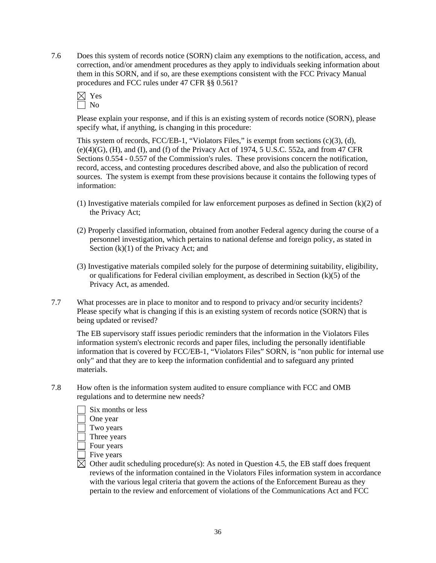7.6 Does this system of records notice (SORN) claim any exemptions to the notification, access, and correction, and/or amendment procedures as they apply to individuals seeking information about them in this SORN, and if so, are these exemptions consistent with the FCC Privacy Manual procedures and FCC rules under 47 CFR §§ 0.561?



Please explain your response, and if this is an existing system of records notice (SORN), please specify what, if anything, is changing in this procedure:

This system of records, FCC/EB-1, "Violators Files," is exempt from sections (c)(3), (d),  $(e)(4)(G)$ ,  $(H)$ , and  $(I)$ , and  $(f)$  of the Privacy Act of 1974, 5 U.S.C. 552a, and from 47 CFR Sections 0.554 - 0.557 of the Commission's rules. These provisions concern the notification, record, access, and contesting procedures described above, and also the publication of record sources. The system is exempt from these provisions because it contains the following types of information:

- (1) Investigative materials compiled for law enforcement purposes as defined in Section (k)(2) of the Privacy Act;
- (2) Properly classified information, obtained from another Federal agency during the course of a personnel investigation, which pertains to national defense and foreign policy, as stated in Section  $(k)(1)$  of the Privacy Act; and
- (3) Investigative materials compiled solely for the purpose of determining suitability, eligibility, or qualifications for Federal civilian employment, as described in Section  $(k)(5)$  of the Privacy Act, as amended.
- 7.7 What processes are in place to monitor and to respond to privacy and/or security incidents? Please specify what is changing if this is an existing system of records notice (SORN) that is being updated or revised?

 The EB supervisory staff issues periodic reminders that the information in the Violators Files information system's electronic records and paper files, including the personally identifiable information that is covered by FCC/EB-1, "Violators Files" SORN, is "non public for internal use only" and that they are to keep the information confidential and to safeguard any printed materials.

7.8 How often is the information system audited to ensure compliance with FCC and OMB regulations and to determine new needs?



Four years

 $\overline{\phantom{a}}$  Five years

 $\boxtimes$  Other audit scheduling procedure(s): As noted in Question 4.5, the EB staff does frequent reviews of the information contained in the Violators Files information system in accordance with the various legal criteria that govern the actions of the Enforcement Bureau as they pertain to the review and enforcement of violations of the Communications Act and FCC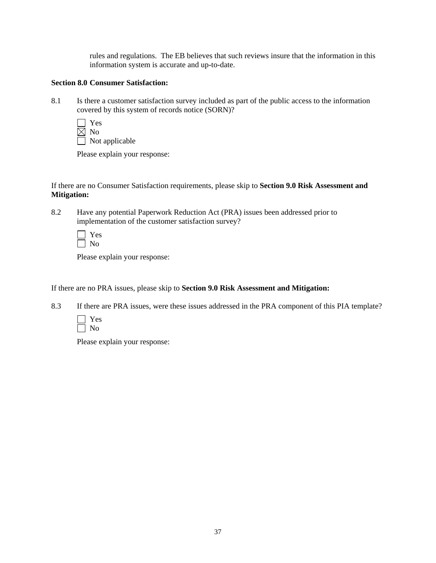rules and regulations. The EB believes that such reviews insure that the information in this information system is accurate and up-to-date.

## **Section 8.0 Consumer Satisfaction:**

8.1 Is there a customer satisfaction survey included as part of the public access to the information covered by this system of records notice (SORN)?

 Yes  $\overline{\boxtimes}$  No Not applicable

Please explain your response:

If there are no Consumer Satisfaction requirements, please skip to **Section 9.0 Risk Assessment and Mitigation:** 

8.2 Have any potential Paperwork Reduction Act (PRA) issues been addressed prior to implementation of the customer satisfaction survey?

Please explain your response:

If there are no PRA issues, please skip to **Section 9.0 Risk Assessment and Mitigation:** 

8.3 If there are PRA issues, were these issues addressed in the PRA component of this PIA template?



Please explain your response: